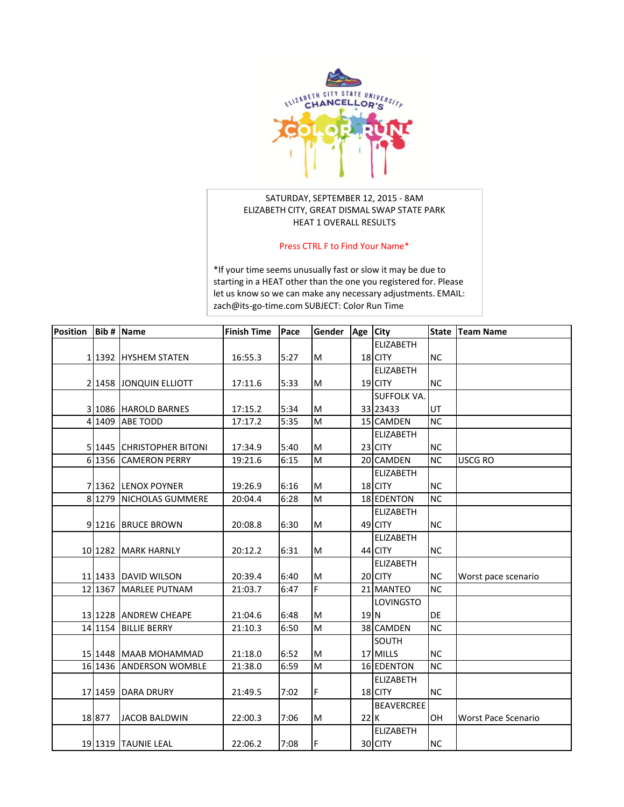

## SATURDAY, SEPTEMBER 12, 2015 - 8AM ELIZABETH CITY, GREAT DISMAL SWAP STATE PARK HEAT 1 OVERALL RESULTS

## Press CTRL F to Find Your Name\*

\*If your time seems unusually fast or slow it may be due to starting in a HEAT other than the one you registered for. Please [let us know so we can make any necessary adjustments. EMAIL:](mailto:zach@its-go-time.com)  zach@its-go-time.com SUBJECT: Color Run Time

| Position |          | <b>Bib # Name</b>         | <b>Finish Time</b> | Pace | Gender                                                                                                     | Age City        |                    | <b>State</b> | <b>Team Name</b>    |
|----------|----------|---------------------------|--------------------|------|------------------------------------------------------------------------------------------------------------|-----------------|--------------------|--------------|---------------------|
|          |          |                           |                    |      |                                                                                                            |                 | <b>ELIZABETH</b>   |              |                     |
|          |          | 1 1392 HYSHEM STATEN      | 16:55.3            | 5:27 | M                                                                                                          |                 | 18 CITY            | <b>NC</b>    |                     |
|          |          |                           |                    |      |                                                                                                            |                 | <b>ELIZABETH</b>   |              |                     |
|          |          | 2 1458 JONQUIN ELLIOTT    | 17:11.6            | 5:33 | M                                                                                                          |                 | 19 CITY            | <b>NC</b>    |                     |
|          |          |                           |                    |      |                                                                                                            |                 | <b>SUFFOLK VA.</b> |              |                     |
|          |          | 3 1086 HAROLD BARNES      | 17:15.2            | 5:34 | M                                                                                                          |                 | 33 23433           | UT           |                     |
|          | 4 1409   | <b>ABE TODD</b>           | 17:17.2            | 5:35 | M                                                                                                          |                 | 15 CAMDEN          | <b>NC</b>    |                     |
|          |          |                           |                    |      |                                                                                                            |                 | <b>ELIZABETH</b>   |              |                     |
|          |          | 5 1445 CHRISTOPHER BITONI | 17:34.9            | 5:40 | M                                                                                                          |                 | 23 CITY            | <b>NC</b>    |                     |
|          | 6 1356   | <b>CAMERON PERRY</b>      | 19:21.6            | 6:15 | M                                                                                                          |                 | 20 CAMDEN          | <b>NC</b>    | USCG RO             |
|          |          |                           |                    |      |                                                                                                            |                 | <b>ELIZABETH</b>   |              |                     |
|          |          | 7 1362 LENOX POYNER       | 19:26.9            | 6:16 | M                                                                                                          |                 | 18 CITY            | <b>NC</b>    |                     |
|          | 8 1279   | NICHOLAS GUMMERE          | 20:04.4            | 6:28 | M                                                                                                          |                 | 18 EDENTON         | <b>NC</b>    |                     |
|          |          |                           |                    |      |                                                                                                            |                 | <b>ELIZABETH</b>   |              |                     |
|          |          | 91216 BRUCE BROWN         | 20:08.8            | 6:30 | M                                                                                                          |                 | 49 CITY            | <b>NC</b>    |                     |
|          |          |                           |                    |      |                                                                                                            |                 | <b>ELIZABETH</b>   |              |                     |
|          |          | 10 1282 MARK HARNLY       | 20:12.2            | 6:31 | M                                                                                                          |                 | 44 CITY            | <b>NC</b>    |                     |
|          |          |                           |                    |      |                                                                                                            |                 | <b>ELIZABETH</b>   |              |                     |
|          |          | 11 1433 DAVID WILSON      | 20:39.4            | 6:40 | M                                                                                                          |                 | 20 CITY            | <b>NC</b>    | Worst pace scenario |
|          | 12 13 67 | <b>MARLEE PUTNAM</b>      | 21:03.7            | 6:47 | F                                                                                                          |                 | 21 MANTEO          | <b>NC</b>    |                     |
|          |          |                           |                    |      |                                                                                                            |                 | <b>LOVINGSTO</b>   |              |                     |
|          |          | 13 1228 ANDREW CHEAPE     | 21:04.6            | 6:48 | M                                                                                                          | 19 <sub>N</sub> |                    | DE           |                     |
|          |          | 14 1154 BILLIE BERRY      | 21:10.3            | 6:50 | M                                                                                                          |                 | 38 CAMDEN          | <b>NC</b>    |                     |
|          |          |                           |                    |      |                                                                                                            |                 | SOUTH              |              |                     |
|          |          | 15 1448 MAAB MOHAMMAD     | 21:18.0            | 6:52 | $\mathsf{M}% _{T}=\mathsf{M}_{T}\!\left( a,b\right) ,\ \mathsf{M}_{T}=\mathsf{M}_{T}\!\left( a,b\right) ,$ |                 | 17 MILLS           | <b>NC</b>    |                     |
|          | 16 1436  | <b>ANDERSON WOMBLE</b>    | 21:38.0            | 6:59 | M                                                                                                          |                 | <b>16 EDENTON</b>  | <b>NC</b>    |                     |
|          |          |                           |                    |      |                                                                                                            |                 | <b>ELIZABETH</b>   |              |                     |
|          |          | 17 1459 DARA DRURY        | 21:49.5            | 7:02 | F                                                                                                          |                 | 18 CITY            | <b>NC</b>    |                     |
|          |          |                           |                    |      |                                                                                                            |                 | <b>BEAVERCREE</b>  |              |                     |
|          | 18 877   | <b>JACOB BALDWIN</b>      | 22:00.3            | 7:06 | M                                                                                                          | 22 K            |                    | OH           | Worst Pace Scenario |
|          |          |                           |                    |      |                                                                                                            |                 | <b>ELIZABETH</b>   |              |                     |
|          |          | 19 1319 TAUNIE LEAL       | 22:06.2            | 7:08 | F                                                                                                          |                 | 30 CITY            | <b>NC</b>    |                     |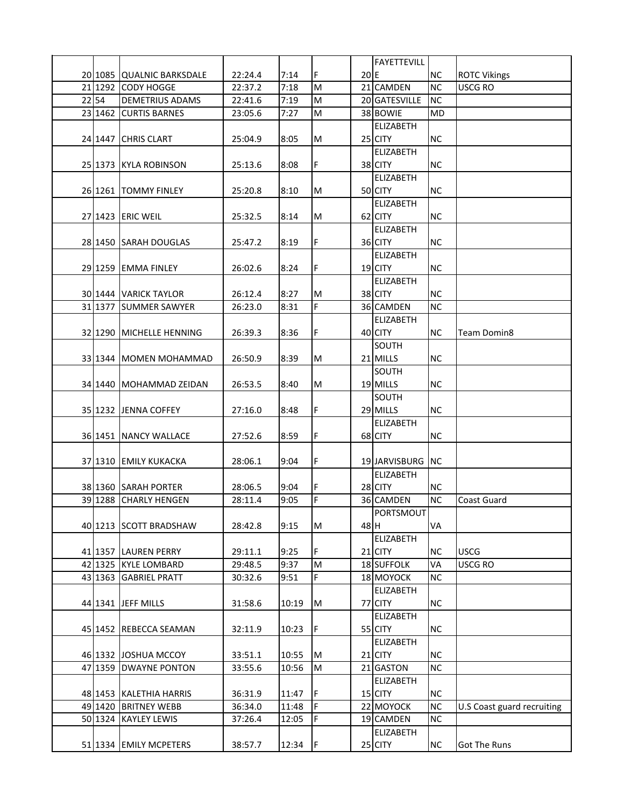|      |                                                |         |       |     |      | <b>FAYETTEVILL</b> |           |                            |
|------|------------------------------------------------|---------|-------|-----|------|--------------------|-----------|----------------------------|
|      | 20 1085 QUALNIC BARKSDALE                      | 22:24.4 | 7:14  | F   | 20E  |                    | <b>NC</b> | <b>ROTC Vikings</b>        |
|      | 21 1292 CODY HOGGE                             | 22:37.2 | 7:18  | M   |      | 21 CAMDEN          | <b>NC</b> | <b>USCG RO</b>             |
| 2254 | <b>DEMETRIUS ADAMS</b>                         | 22:41.6 | 7:19  | M   |      | 20 GATESVILLE      | <b>NC</b> |                            |
|      | 23 1462 CURTIS BARNES                          | 23:05.6 | 7:27  | M   |      | 38 BOWIE           | <b>MD</b> |                            |
|      |                                                |         |       |     |      | <b>ELIZABETH</b>   |           |                            |
|      | 24 1447 CHRIS CLART                            | 25:04.9 | 8:05  | M   |      | 25 CITY            | <b>NC</b> |                            |
|      |                                                |         |       |     |      | <b>ELIZABETH</b>   |           |                            |
|      | 25 1373 KYLA ROBINSON                          | 25:13.6 | 8:08  | F   |      | 38 CITY            | <b>NC</b> |                            |
|      |                                                |         |       |     |      | <b>ELIZABETH</b>   |           |                            |
|      | 26 1261 TOMMY FINLEY                           | 25:20.8 | 8:10  | M   |      | 50 CITY            | <b>NC</b> |                            |
|      |                                                |         |       |     |      | <b>ELIZABETH</b>   |           |                            |
|      | 27 1423 ERIC WEIL                              | 25:32.5 | 8:14  | M   |      | 62 CITY            | <b>NC</b> |                            |
|      |                                                |         |       |     |      | <b>ELIZABETH</b>   |           |                            |
|      | 28 1450 SARAH DOUGLAS                          | 25:47.2 | 8:19  | F   |      | 36 CITY            | <b>NC</b> |                            |
|      |                                                |         |       |     |      | <b>ELIZABETH</b>   |           |                            |
|      | 29 1259 EMMA FINLEY                            | 26:02.6 | 8:24  | F   |      | 19 CITY            | <b>NC</b> |                            |
|      |                                                |         |       |     |      | <b>ELIZABETH</b>   |           |                            |
|      |                                                |         | 8:27  | M   |      | 38 CITY            | <b>NC</b> |                            |
|      | 30 1444 VARICK TAYLOR<br>31 1377 SUMMER SAWYER | 26:12.4 | 8:31  | F   |      | 36 CAMDEN          | <b>NC</b> |                            |
|      |                                                | 26:23.0 |       |     |      |                    |           |                            |
|      |                                                |         |       |     |      | <b>ELIZABETH</b>   |           |                            |
|      | 32 1290 MICHELLE HENNING                       | 26:39.3 | 8:36  | F   |      | 40 CITY            | <b>NC</b> | Team Domin8                |
|      |                                                |         |       |     |      | SOUTH              |           |                            |
|      | 33 1344 MOMEN MOHAMMAD                         | 26:50.9 | 8:39  | M   |      | 21 MILLS           | <b>NC</b> |                            |
|      |                                                |         |       |     |      | SOUTH              |           |                            |
|      | 34 1440 MOHAMMAD ZEIDAN                        | 26:53.5 | 8:40  | M   |      | 19 MILLS           | <b>NC</b> |                            |
|      |                                                |         |       |     |      | SOUTH              |           |                            |
|      | 35 1232 JENNA COFFEY                           | 27:16.0 | 8:48  | F   |      | 29 MILLS           | <b>NC</b> |                            |
|      |                                                |         |       |     |      | <b>ELIZABETH</b>   |           |                            |
|      | 36 1451 NANCY WALLACE                          | 27:52.6 | 8:59  | F   |      | 68 CITY            | <b>NC</b> |                            |
|      |                                                |         |       |     |      |                    |           |                            |
|      | 37 1310 EMILY KUKACKA                          | 28:06.1 | 9:04  | F   |      | 19 JARVISBURG      | <b>NC</b> |                            |
|      |                                                |         |       |     |      | <b>ELIZABETH</b>   |           |                            |
|      | 38 1360 SARAH PORTER                           | 28:06.5 | 9:04  | F   |      | 28 CITY            | <b>NC</b> |                            |
|      | 39 1288 CHARLY HENGEN                          | 28:11.4 | 9:05  | F   |      | 36 CAMDEN          | <b>NC</b> | Coast Guard                |
|      |                                                |         |       |     |      | PORTSMOUT          |           |                            |
|      | 40 1213 SCOTT BRADSHAW                         | 28:42.8 | 9:15  | M   | 48 H |                    | <b>VA</b> |                            |
|      |                                                |         |       |     |      | <b>ELIZABETH</b>   |           |                            |
|      | 41 1357 LAUREN PERRY                           | 29:11.1 | 9:25  | F   |      | 21 CITY            | <b>NC</b> | <b>USCG</b>                |
|      | 42 1325 KYLE LOMBARD                           | 29:48.5 | 9:37  | M   |      | 18 SUFFOLK         | VA        | <b>USCG RO</b>             |
|      | 43 1363 GABRIEL PRATT                          | 30:32.6 | 9:51  | F   |      | 18 MOYOCK          | <b>NC</b> |                            |
|      |                                                |         |       |     |      | <b>ELIZABETH</b>   |           |                            |
|      | 44 1341 JEFF MILLS                             | 31:58.6 | 10:19 | M   |      | 77 CITY            | <b>NC</b> |                            |
|      |                                                |         |       |     |      | <b>ELIZABETH</b>   |           |                            |
|      | 45 1452 REBECCA SEAMAN                         | 32:11.9 | 10:23 | IF. |      | 55 CITY            | <b>NC</b> |                            |
|      |                                                |         |       |     |      | <b>ELIZABETH</b>   |           |                            |
|      | 46 1332 JOSHUA MCCOY                           | 33:51.1 | 10:55 | M   |      | 21 CITY            | <b>NC</b> |                            |
|      | 47 1359 DWAYNE PONTON                          | 33:55.6 | 10:56 | M   |      | 21 GASTON          | <b>NC</b> |                            |
|      |                                                |         |       |     |      | <b>ELIZABETH</b>   |           |                            |
|      | 48 1453 KALETHIA HARRIS                        | 36:31.9 | 11:47 | lF. |      | 15 CITY            | <b>NC</b> |                            |
|      | 49 1420 BRITNEY WEBB                           | 36:34.0 | 11:48 | F   |      | 22 MOYOCK          | NC        | U.S Coast guard recruiting |
|      | 50 1324 KAYLEY LEWIS                           | 37:26.4 | 12:05 | F   |      | 19 CAMDEN          | <b>NC</b> |                            |
|      |                                                |         |       |     |      | ELIZABETH          |           |                            |
|      | 51 1334 EMILY MCPETERS                         | 38:57.7 | 12:34 | I۴  |      | 25 CITY            | NC        | Got The Runs               |
|      |                                                |         |       |     |      |                    |           |                            |